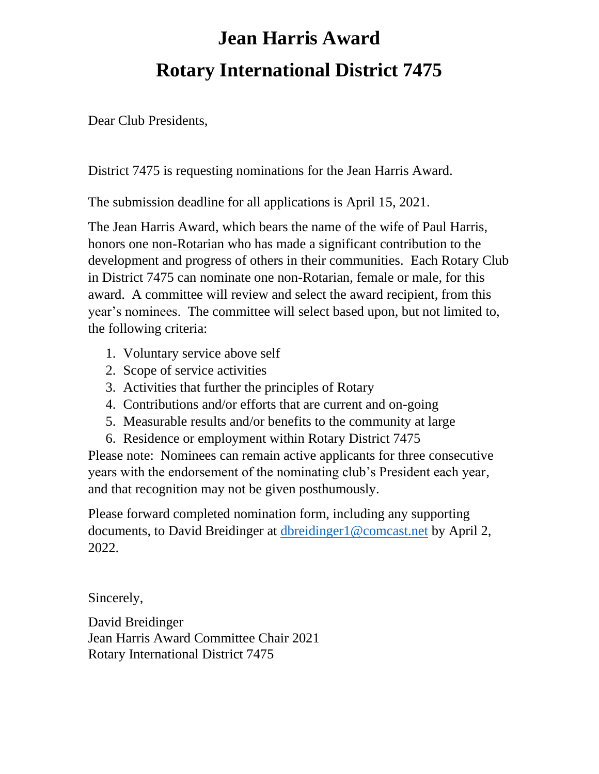## **Jean Harris Award Rotary International District 7475**

Dear Club Presidents,

District 7475 is requesting nominations for the Jean Harris Award.

The submission deadline for all applications is April 15, 2021.

The Jean Harris Award, which bears the name of the wife of Paul Harris, honors one non-Rotarian who has made a significant contribution to the development and progress of others in their communities. Each Rotary Club in District 7475 can nominate one non-Rotarian, female or male, for this award. A committee will review and select the award recipient, from this year's nominees. The committee will select based upon, but not limited to, the following criteria:

- 1. Voluntary service above self
- 2. Scope of service activities
- 3. Activities that further the principles of Rotary
- 4. Contributions and/or efforts that are current and on-going
- 5. Measurable results and/or benefits to the community at large
- 6. Residence or employment within Rotary District 7475

Please note: Nominees can remain active applicants for three consecutive years with the endorsement of the nominating club's President each year, and that recognition may not be given posthumously.

Please forward completed nomination form, including any supporting documents, to David Breidinger at dbreidinger 1 @comcast.net by April 2, 2022.

Sincerely,

David Breidinger Jean Harris Award Committee Chair 2021 Rotary International District 7475